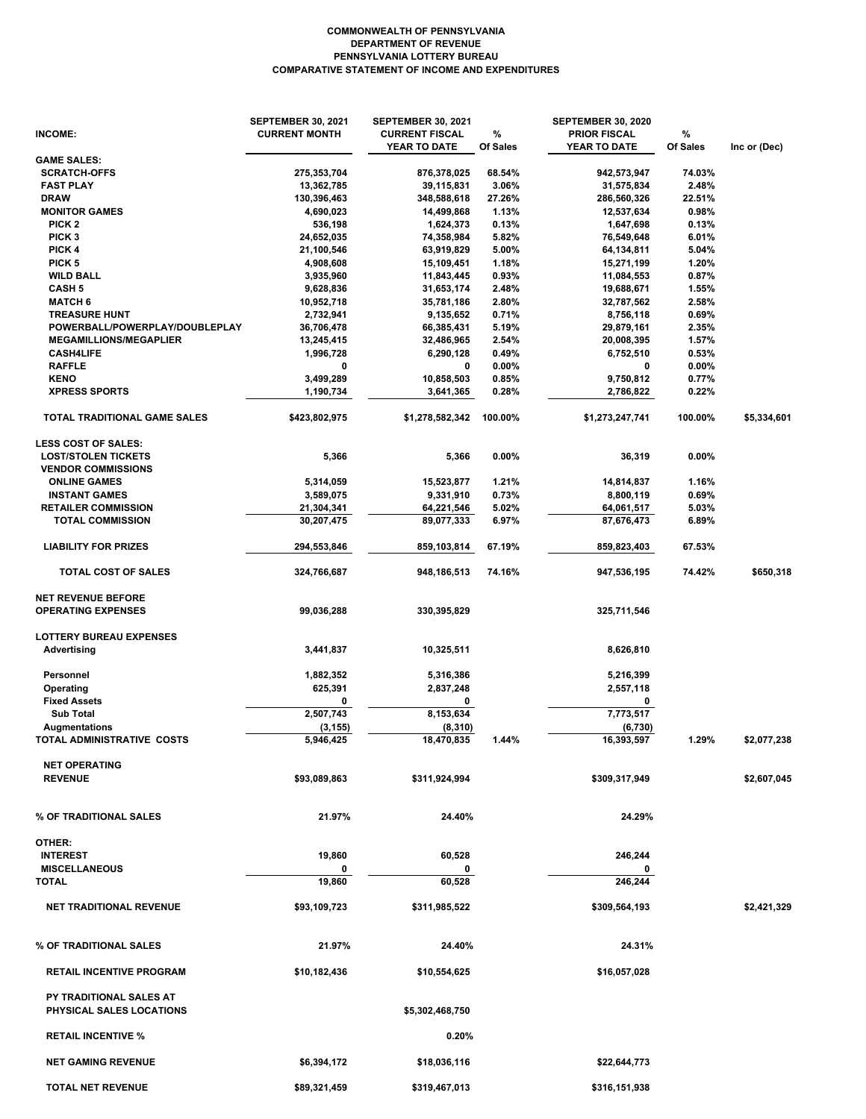## **COMPARATIVE STATEMENT OF INCOME AND EXPENDITURES PENNSYLVANIA LOTTERY BUREAU DEPARTMENT OF REVENUE COMMONWEALTH OF PENNSYLVANIA**

| INCOME:                                                | <b>SEPTEMBER 30, 2021</b><br><b>CURRENT MONTH</b> | <b>SEPTEMBER 30, 2021</b><br><b>CURRENT FISCAL</b><br>YEAR TO DATE | $\%$<br>Of Sales | <b>SEPTEMBER 30, 2020</b><br><b>PRIOR FISCAL</b><br>YEAR TO DATE | %<br>Of Sales  | Inc or (Dec) |
|--------------------------------------------------------|---------------------------------------------------|--------------------------------------------------------------------|------------------|------------------------------------------------------------------|----------------|--------------|
| <b>GAME SALES:</b>                                     |                                                   |                                                                    |                  |                                                                  |                |              |
| <b>SCRATCH-OFFS</b>                                    | 275,353,704                                       | 876,378,025                                                        | 68.54%           | 942,573,947                                                      | 74.03%         |              |
| <b>FAST PLAY</b>                                       | 13,362,785                                        | 39,115,831                                                         | 3.06%            | 31,575,834                                                       | 2.48%          |              |
| <b>DRAW</b>                                            | 130,396,463                                       | 348,588,618                                                        | 27.26%           | 286,560,326                                                      | 22.51%         |              |
| <b>MONITOR GAMES</b>                                   | 4,690,023                                         | 14,499,868                                                         | 1.13%            | 12,537,634                                                       | 0.98%          |              |
| PICK <sub>2</sub>                                      | 536,198                                           | 1,624,373                                                          | 0.13%            | 1,647,698                                                        | 0.13%          |              |
| PICK <sub>3</sub>                                      | 24,652,035                                        | 74,358,984                                                         | 5.82%            | 76,549,648                                                       | 6.01%          |              |
| PICK 4<br>PICK <sub>5</sub>                            | 21,100,546                                        | 63,919,829                                                         | 5.00%<br>1.18%   | 64,134,811                                                       | 5.04%<br>1.20% |              |
| <b>WILD BALL</b>                                       | 4,908,608<br>3,935,960                            | 15,109,451<br>11,843,445                                           | 0.93%            | 15,271,199<br>11,084,553                                         | 0.87%          |              |
| <b>CASH 5</b>                                          | 9,628,836                                         | 31,653,174                                                         | 2.48%            | 19,688,671                                                       | 1.55%          |              |
| <b>MATCH 6</b>                                         | 10,952,718                                        | 35,781,186                                                         | 2.80%            | 32,787,562                                                       | 2.58%          |              |
| <b>TREASURE HUNT</b>                                   | 2,732,941                                         | 9,135,652                                                          | 0.71%            | 8,756,118                                                        | 0.69%          |              |
| POWERBALL/POWERPLAY/DOUBLEPLAY                         | 36,706,478                                        | 66,385,431                                                         | 5.19%            | 29,879,161                                                       | 2.35%          |              |
| <b>MEGAMILLIONS/MEGAPLIER</b>                          | 13,245,415                                        | 32,486,965                                                         | 2.54%            | 20,008,395                                                       | 1.57%          |              |
| <b>CASH4LIFE</b>                                       | 1,996,728                                         | 6,290,128                                                          | 0.49%            | 6,752,510                                                        | 0.53%          |              |
| <b>RAFFLE</b>                                          | 0                                                 | 0                                                                  | 0.00%            | 0                                                                | 0.00%          |              |
| <b>KENO</b>                                            | 3,499,289                                         | 10,858,503                                                         | 0.85%            | 9,750,812                                                        | 0.77%          |              |
| <b>XPRESS SPORTS</b>                                   | 1,190,734                                         | 3,641,365                                                          | 0.28%            | 2,786,822                                                        | 0.22%          |              |
| TOTAL TRADITIONAL GAME SALES                           | \$423,802,975                                     | \$1,278,582,342                                                    | 100.00%          | \$1,273,247,741                                                  | 100.00%        | \$5,334,601  |
| <b>LESS COST OF SALES:</b>                             |                                                   |                                                                    |                  |                                                                  |                |              |
| <b>LOST/STOLEN TICKETS</b>                             | 5,366                                             | 5,366                                                              | $0.00\%$         | 36,319                                                           | 0.00%          |              |
| <b>VENDOR COMMISSIONS</b>                              |                                                   |                                                                    |                  |                                                                  |                |              |
| <b>ONLINE GAMES</b>                                    | 5,314,059                                         | 15,523,877                                                         | 1.21%            | 14,814,837                                                       | 1.16%          |              |
| <b>INSTANT GAMES</b>                                   | 3,589,075                                         | 9,331,910                                                          | 0.73%            | 8,800,119                                                        | 0.69%          |              |
| <b>RETAILER COMMISSION</b>                             | 21,304,341                                        | 64,221,546                                                         | 5.02%            | 64,061,517                                                       | 5.03%          |              |
| <b>TOTAL COMMISSION</b>                                | 30,207,475                                        | 89,077,333                                                         | 6.97%            | 87,676,473                                                       | 6.89%          |              |
| <b>LIABILITY FOR PRIZES</b>                            | 294,553,846                                       | 859,103,814                                                        | 67.19%           | 859,823,403                                                      | 67.53%         |              |
| <b>TOTAL COST OF SALES</b>                             | 324,766,687                                       | 948,186,513                                                        | 74.16%           | 947,536,195                                                      | 74.42%         | \$650,318    |
|                                                        |                                                   |                                                                    |                  |                                                                  |                |              |
| <b>NET REVENUE BEFORE</b><br><b>OPERATING EXPENSES</b> | 99,036,288                                        | 330,395,829                                                        |                  | 325,711,546                                                      |                |              |
| <b>LOTTERY BUREAU EXPENSES</b>                         |                                                   |                                                                    |                  |                                                                  |                |              |
| <b>Advertising</b>                                     | 3,441,837                                         | 10,325,511                                                         |                  | 8,626,810                                                        |                |              |
| Personnel                                              | 1,882,352                                         | 5,316,386                                                          |                  | 5,216,399                                                        |                |              |
| Operating                                              | 625,391                                           | 2,837,248                                                          |                  | 2,557,118                                                        |                |              |
| <b>Fixed Assets</b>                                    | 0                                                 | 0                                                                  |                  | 0                                                                |                |              |
| <b>Sub Total</b>                                       | 2,507,743                                         | 8,153,634                                                          |                  | 7,773,517                                                        |                |              |
| <b>Augmentations</b>                                   | (3, 155)                                          | (8, 310)                                                           |                  | (6,730)                                                          |                |              |
| TOTAL ADMINISTRATIVE COSTS                             | 5,946,425                                         | 18,470,835                                                         | 1.44%            | 16,393,597                                                       | 1.29%          | \$2,077,238  |
|                                                        |                                                   |                                                                    |                  |                                                                  |                |              |
| <b>NET OPERATING</b><br><b>REVENUE</b>                 | \$93,089,863                                      | \$311,924,994                                                      |                  | \$309,317,949                                                    |                | \$2,607,045  |
| % OF TRADITIONAL SALES                                 | 21.97%                                            | 24.40%                                                             |                  | 24.29%                                                           |                |              |
|                                                        |                                                   |                                                                    |                  |                                                                  |                |              |
| OTHER:                                                 |                                                   |                                                                    |                  |                                                                  |                |              |
| <b>INTEREST</b>                                        | 19,860                                            | 60,528                                                             |                  | 246,244                                                          |                |              |
| <b>MISCELLANEOUS</b>                                   | 0                                                 |                                                                    |                  |                                                                  |                |              |
| <b>TOTAL</b>                                           | 19,860                                            | 60,528                                                             |                  | 246,244                                                          |                |              |
| <b>NET TRADITIONAL REVENUE</b>                         | \$93,109,723                                      | \$311,985,522                                                      |                  | \$309,564,193                                                    |                | \$2,421,329  |
| % OF TRADITIONAL SALES                                 | 21.97%                                            | 24.40%                                                             |                  | 24.31%                                                           |                |              |
| <b>RETAIL INCENTIVE PROGRAM</b>                        | \$10,182,436                                      | \$10,554,625                                                       |                  | \$16,057,028                                                     |                |              |
| <b>PY TRADITIONAL SALES AT</b>                         |                                                   |                                                                    |                  |                                                                  |                |              |
| PHYSICAL SALES LOCATIONS                               |                                                   | \$5,302,468,750                                                    |                  |                                                                  |                |              |
| <b>RETAIL INCENTIVE %</b>                              |                                                   | 0.20%                                                              |                  |                                                                  |                |              |
| <b>NET GAMING REVENUE</b>                              | \$6,394,172                                       | \$18,036,116                                                       |                  | \$22,644,773                                                     |                |              |
| <b>TOTAL NET REVENUE</b>                               | \$89,321,459                                      | \$319,467,013                                                      |                  | \$316,151,938                                                    |                |              |